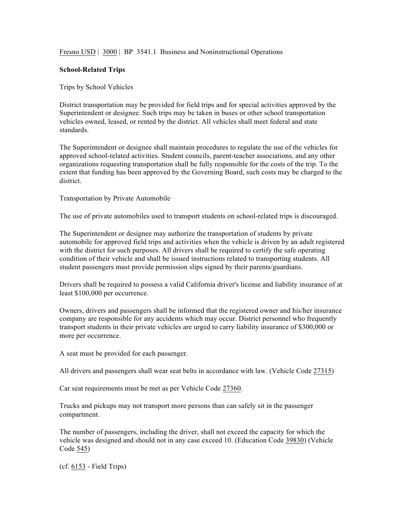Fresno USD | 3000 | BP 3541.1 Business and Noninstructional Operations

## **School-Related Trips**

Trips by School Vehicles

District transportation may be provided for field trips and for special activities approved by the Superintendent or designee. Such trips may be taken in buses or other school transportation vehicles owned, leased, or rented by the district. All vehicles shall meet federal and state standards.

The Superintendent or designee shall maintain procedures to regulate the use of the vehicles for approved school-related activities. Student councils, parent-teacher associations, and any other organizations requesting transportation shall be fully responsible for the costs of the trip. To the extent that funding has been approved by the Governing Board, such costs may be charged to the district.

Transportation by Private Automobile

The use of private automobiles used to transport students on school-related trips is discouraged.

The Superintendent or designee may authorize the transportation of students by private automobile for approved field trips and activities when the vehicle is driven by an adult registered with the district for such purposes. All drivers shall be required to certify the safe operating condition of their vehicle and shall be issued instructions related to transporting students. All student passengers must provide permission slips signed by their parents/guardians.

Drivers shall be required to possess a valid California driver's license and liability insurance of at least \$100,000 per occurrence.

Owners, drivers and passengers shall be informed that the registered owner and his/her insurance company are responsible for any accidents which may occur. District personnel who frequently transport students in their private vehicles are urged to carry liability insurance of \$300,000 or more per occurrence.

A seat must be provided for each passenger.

All drivers and passengers shall wear seat belts in accordance with law. (Vehicle Code 27315)

Car seat requirements must be met as per Vehicle Code 27360.

Trucks and pickups may not transport more persons than can safely sit in the passenger compartment.

The number of passengers, including the driver, shall not exceed the capacity for which the vehicle was designed and should not in any case exceed 10. (Education Code 39830) (Vehicle Code 545)

(cf. 6153 - Field Trips)